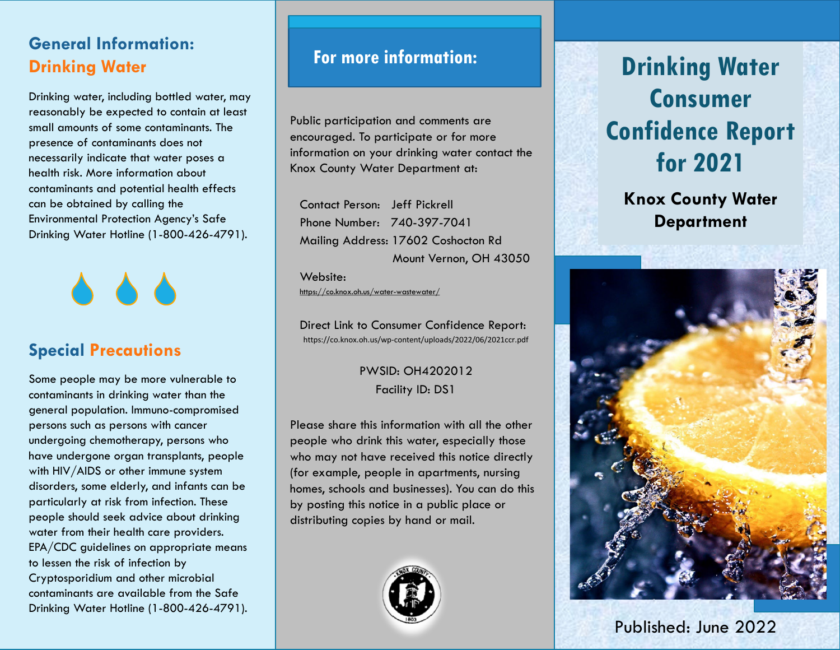# **General Information: Drinking Water**

Drinking water, including bottled water, may reasonably be expected to contain at least small amounts of some contaminants. The presence of contaminants does not necessarily indicate that water poses a health risk. More information about contaminants and potential health effects can be obtained by calling the Environmental Protection Agency's Safe Drinking Water Hotline (1-800-426-4791).



## **Special Precautions**

Some people may be more vulnerable to contaminants in drinking water than the general population. Immuno-compromised persons such as persons with cancer undergoing chemotherapy, persons who have undergone organ transplants, people with HIV/AIDS or other immune system disorders, some elderly, and infants can be particularly at risk from infection. These people should seek advice about drinking water from their health care providers. EPA/CDC guidelines on appropriate means to lessen the risk of infection by Cryptosporidium and other microbial contaminants are available from the Safe Drinking Water Hotline (1-800-426-4791).

Public participation and comments are encouraged. To participate or for more information on your drinking water contact the Knox County Water Department at:

Contact Person: Jeff Pickrell Phone Number: 740-397-7041 Mailing Address: 17602 Coshocton Rd Mount Vernon, OH 43050

Website: https://co.knox.oh.us/water-wastewater/

Direct Link to Consumer Confidence Report: https://co.knox.oh.us/wp-content/uploads/2022/06/2021ccr.pdf

#### PWSID: OH4202012 Facility ID: DS1

Please share this information with all the other people who drink this water, especially those who may not have received this notice directly (for example, people in apartments, nursing homes, schools and businesses). You can do this by posting this notice in a public place or distributing copies by hand or mail.



# For more information: **The Contract of Lines and Drinking Water Consumer Confidence Report for 2021**

**Knox County Water Department**



Published: June 2022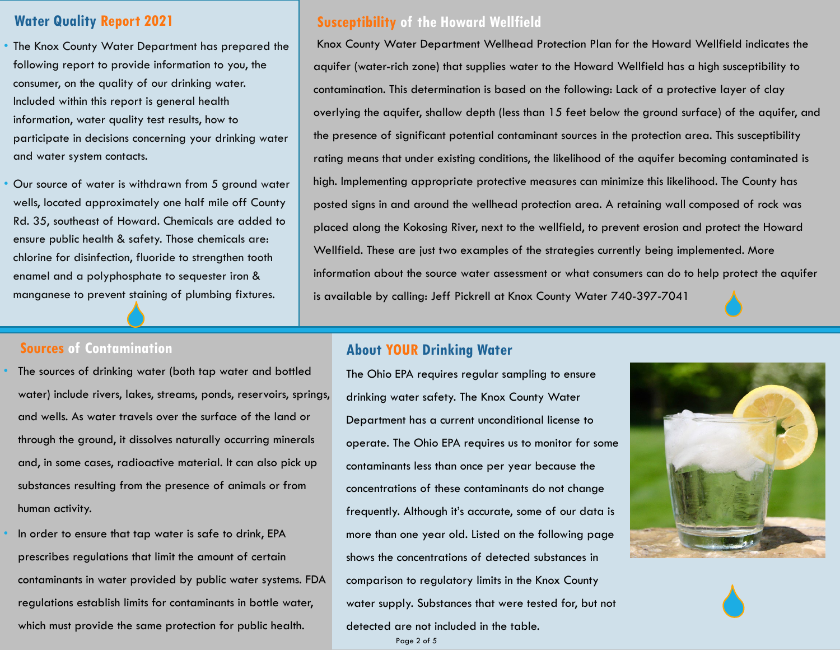#### **Water Quality Report 2021**

- The Knox County Water Department has prepared the following report to provide information to you, the consumer, on the quality of our drinking water. Included within this report is general health information, water quality test results, how to participate in decisions concerning your drinking water and water system contacts.
- Our source of water is withdrawn from 5 ground water wells, located approximately one half mile off County Rd. 35, southeast of Howard. Chemicals are added to ensure public health & safety. Those chemicals are: chlorine for disinfection, fluoride to strengthen tooth enamel and a polyphosphate to sequester iron & manganese to prevent staining of plumbing fixtures.

### **Susceptibility of the Howard Wellfield**

Knox County Water Department Wellhead Protection Plan for the Howard Wellfield indicates the aquifer (water-rich zone) that supplies water to the Howard Wellfield has a high susceptibility to contamination. This determination is based on the following: Lack of a protective layer of clay overlying the aquifer, shallow depth (less than 15 feet below the ground surface) of the aquifer, and the presence of significant potential contaminant sources in the protection area. This susceptibility rating means that under existing conditions, the likelihood of the aquifer becoming contaminated is high. Implementing appropriate protective measures can minimize this likelihood. The County has posted signs in and around the wellhead protection area. A retaining wall composed of rock was placed along the Kokosing River, next to the wellfield, to prevent erosion and protect the Howard Wellfield. These are just two examples of the strategies currently being implemented. More information about the source water assessment or what consumers can do to help protect the aquifer is available by calling: Jeff Pickrell at Knox County Water 740-397-7041

- The sources of drinking water (both tap water and bottled water) include rivers, lakes, streams, ponds, reservoirs, springs, and wells. As water travels over the surface of the land or through the ground, it dissolves naturally occurring minerals and, in some cases, radioactive material. It can also pick up substances resulting from the presence of animals or from human activity.
- In order to ensure that tap water is safe to drink, EPA prescribes regulations that limit the amount of certain contaminants in water provided by public water systems. FDA regulations establish limits for contaminants in bottle water, which must provide the same protection for public health.

### **Sources** of Contamination **About YOUR Drinking Water**

Page 2 of 5

The Ohio EPA requires regular sampling to ensure drinking water safety. The Knox County Water Department has a current unconditional license to operate. The Ohio EPA requires us to monitor for some contaminants less than once per year because the concentrations of these contaminants do not change frequently. Although it's accurate, some of our data is more than one year old. Listed on the following page shows the concentrations of detected substances in comparison to regulatory limits in the Knox County water supply. Substances that were tested for, but not detected are not included in the table.

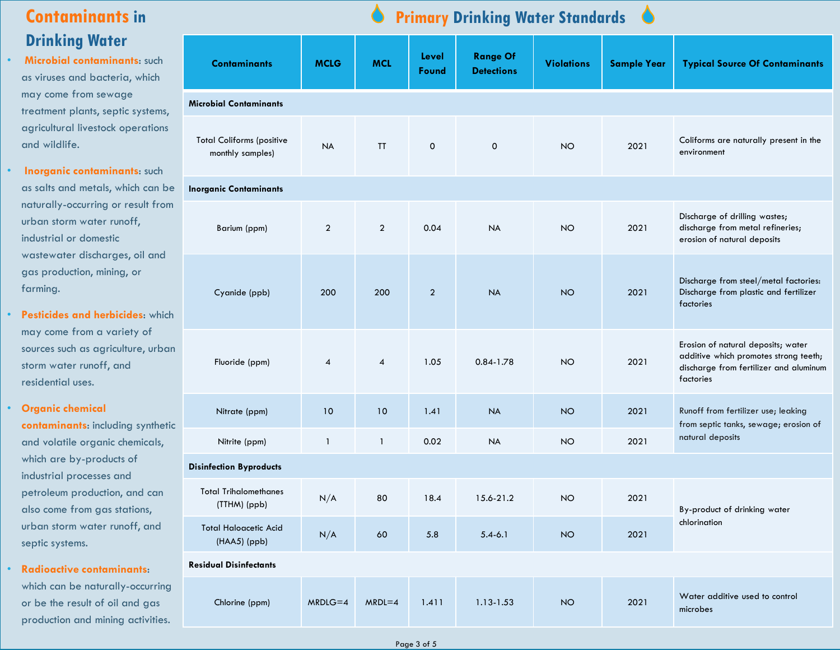## **Contaminants in Drinking Water**

• **Microbial contaminants**: such as viruses and bacteria, which may come from sewage treatment plants, septic systems, agricultural livestock operations and wildlife.

• **Inorganic contaminants**: such as salts and metals, which can be naturally-occurring or result from urban storm water runoff, industrial or domestic wastewater discharges, oil and gas production, mining, or farming.

• **Pesticides and herbicides**: which may come from a variety of sources such as agriculture, urban storm water runoff, and residential uses.

• **Organic chemical contaminants**: including synthetic and volatile organic chemicals, which are by-products of industrial processes and petroleum production, and can also come from gas stations, urban storm water runoff, and septic systems.

• **Radioactive contaminants**: which can be naturally-occurring or be the result of oil and gas production and mining activities.

# **Primary Drinking Water Standards**

| <b>Contaminants</b>                                  | <b>MCLG</b>    | <b>MCL</b>       | Level<br>Found | <b>Range Of</b><br><b>Detections</b> | <b>Violations</b> | <b>Sample Year</b> | <b>Typical Source Of Contaminants</b>                                                                                              |  |
|------------------------------------------------------|----------------|------------------|----------------|--------------------------------------|-------------------|--------------------|------------------------------------------------------------------------------------------------------------------------------------|--|
| Microbial Contaminants                               |                |                  |                |                                      |                   |                    |                                                                                                                                    |  |
| <b>Total Coliforms (positive</b><br>monthly samples) | <b>NA</b>      | <b>TT</b>        | $\mathsf{O}$   | $\mathsf{O}\xspace$                  | <b>NO</b>         | 2021               | Coliforms are naturally present in the<br>environment                                                                              |  |
| <b>Inorganic Contaminants</b>                        |                |                  |                |                                      |                   |                    |                                                                                                                                    |  |
| Barium (ppm)                                         | $\overline{2}$ | $\overline{2}$   | 0.04           | <b>NA</b>                            | <b>NO</b>         | 2021               | Discharge of drilling wastes;<br>discharge from metal refineries;<br>erosion of natural deposits                                   |  |
| Cyanide (ppb)                                        | 200            | 200              | $\overline{2}$ | <b>NA</b>                            | <b>NO</b>         | 2021               | Discharge from steel/metal factories:<br>Discharge from plastic and fertilizer<br>factories                                        |  |
| Fluoride (ppm)                                       | $\overline{4}$ | $\boldsymbol{4}$ | 1.05           | $0.84 - 1.78$                        | <b>NO</b>         | 2021               | Erosion of natural deposits; water<br>additive which promotes strong teeth;<br>discharge from fertilizer and aluminum<br>factories |  |
| Nitrate (ppm)                                        | 10             | 10               | 1.41           | <b>NA</b>                            | <b>NO</b>         | 2021               | Runoff from fertilizer use; leaking<br>from septic tanks, sewage; erosion of                                                       |  |
| Nitrite (ppm)                                        | $\mathbf{1}$   | $\mathbf{1}$     | 0.02           | <b>NA</b>                            | <b>NO</b>         | 2021               | natural deposits                                                                                                                   |  |
| <b>Disinfection Byproducts</b>                       |                |                  |                |                                      |                   |                    |                                                                                                                                    |  |
| <b>Total Trihalomethanes</b><br>(TTHM) (ppb)         | N/A            | 80               | 18.4           | 15.6-21.2                            | <b>NO</b>         | 2021               | By-product of drinking water                                                                                                       |  |
| <b>Total Haloacetic Acid</b><br>(HAA5) (ppb)         | N/A            | 60               | 5.8            | $5.4 - 6.1$                          | <b>NO</b>         | 2021               | chlorination                                                                                                                       |  |
| <b>Residual Disinfectants</b>                        |                |                  |                |                                      |                   |                    |                                                                                                                                    |  |
| Chlorine (ppm)                                       | $MRDLG=4$      | $MRDL=4$         | 1.411          | 1.13-1.53                            | <b>NO</b>         | 2021               | Water additive used to control<br>microbes                                                                                         |  |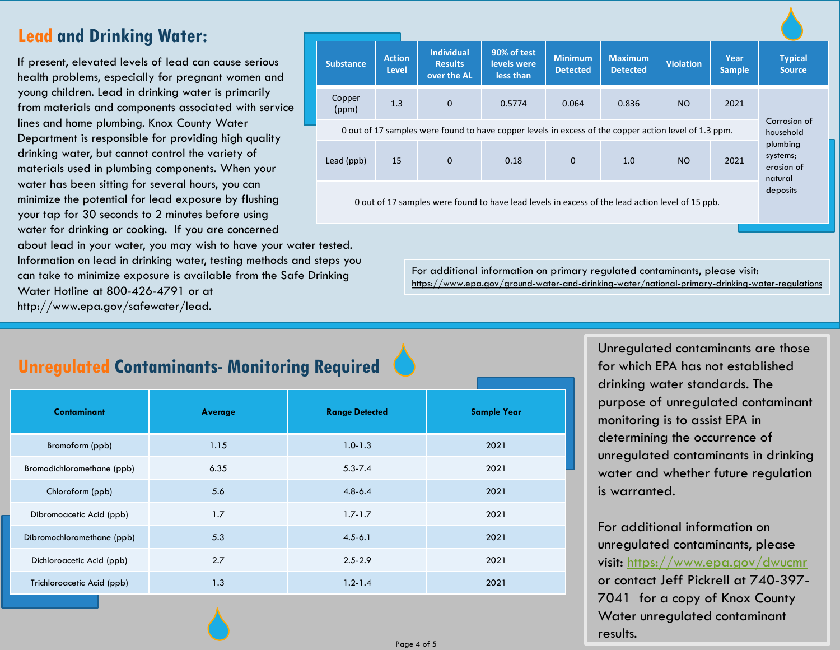# **Lead and Drinking Water:**

If present, elevated levels of lead can cause serious health problems, especially for pregnant women and young children. Lead in drinking water is primarily from materials and components associated with service lines and home plumbing. Knox County Water Department is responsible for providing high quality drinking water, but cannot control the variety of materials used in plumbing components. When your water has been sitting for several hours, you can minimize the potential for lead exposure by flushing your tap for 30 seconds to 2 minutes before using water for drinking or cooking. If you are concerned

about lead in your water, you may wish to have your water tested. Information on lead in drinking water, testing methods and steps you can take to minimize exposure is available from the Safe Drinking Water Hotline at 800-426-4791 or at http://www.epa.gov/safewater/lead.

| <b>Substance</b>                                                                                                                   | <b>Action</b><br><b>Level</b> | <b>Individual</b><br><b>Results</b><br>over the AL | 90% of test<br>levels were<br>less than | <b>Minimum</b><br><b>Detected</b> | <b>Maximum</b><br><b>Detected</b> | <b>Violation</b> | Year<br><b>Sample</b> | <b>Typical</b><br><b>Source</b>               |
|------------------------------------------------------------------------------------------------------------------------------------|-------------------------------|----------------------------------------------------|-----------------------------------------|-----------------------------------|-----------------------------------|------------------|-----------------------|-----------------------------------------------|
| Copper<br>(ppm)                                                                                                                    | 1.3                           | $\mathbf{0}$                                       | 0.5774                                  | 0.064                             | 0.836                             | N <sub>O</sub>   | 2021                  |                                               |
| Corrosion of<br>0 out of 17 samples were found to have copper levels in excess of the copper action level of 1.3 ppm.<br>household |                               |                                                    |                                         |                                   |                                   |                  |                       |                                               |
| Lead (ppb)                                                                                                                         | 15                            | $\mathbf 0$                                        | 0.18                                    | $\mathbf 0$                       | 1.0                               | <b>NO</b>        | 2021                  | plumbing<br>systems;<br>erosion of<br>natural |
|                                                                                                                                    |                               |                                                    |                                         |                                   |                                   |                  |                       | deposits                                      |

0 out of 17 samples were found to have lead levels in excess of the lead action level of 15 ppb.

For additional information on primary regulated contaminants, please visit: https://www.epa.gov/ground-water-and-drinking-water/national-primary-drinking-water-regulations

# **Unregulated Contaminants- Monitoring Required**

| <b>Contaminant</b>         | Average | <b>Range Detected</b> | <b>Sample Year</b> |  |
|----------------------------|---------|-----------------------|--------------------|--|
| Bromoform (ppb)            | 1.15    | $1.0 - 1.3$           | 2021               |  |
| Bromodichloromethane (ppb) | 6.35    | $5.3 - 7.4$           | 2021               |  |
| Chloroform (ppb)           | 5.6     | $4.8 - 6.4$           | 2021               |  |
| Dibromoacetic Acid (ppb)   | 1.7     | $1.7 - 1.7$           | 2021               |  |
| Dibromochloromethane (ppb) | 5.3     | $4.5 - 6.1$           | 2021               |  |
| Dichloroacetic Acid (ppb)  | 2.7     | $2.5 - 2.9$           | 2021               |  |
| Trichloroacetic Acid (ppb) | 1.3     | $1.2 - 1.4$           | 2021               |  |

Unregulated contaminants are those for which EPA has not established drinking water standards. The purpose of unregulated contaminant monitoring is to assist EPA in determining the occurrence of unregulated contaminants in drinking water and whether future regulation is warranted.

For additional information on unregulated contaminants, please visit:<https://www.epa.gov/dwucmr> or contact Jeff Pickrell at 740-397- 7041 for a copy of Knox County Water unregulated contaminant results.